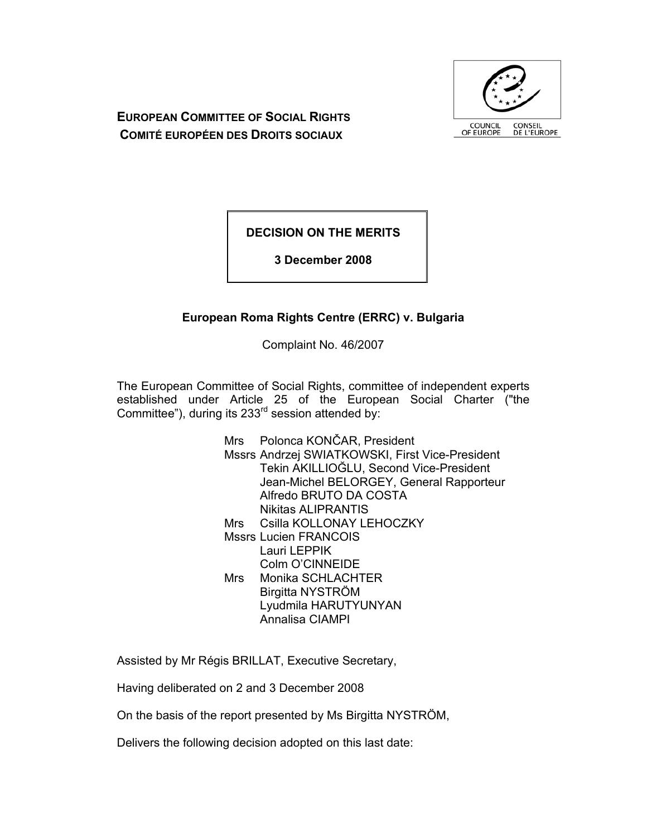

**EUROPEAN COMMITTEE OF SOCIAL RIGHTS COMITÉ EUROPÉEN DES DROITS SOCIAUX**

**DECISION ON THE MERITS** 

**3 December 2008** 

# **European Roma Rights Centre (ERRC) v. Bulgaria**

Complaint No. 46/2007

The European Committee of Social Rights, committee of independent experts established under Article 25 of the European Social Charter ("the Committee"), during its  $233<sup>rd</sup>$  session attended by:

> Mrs Polonca KONČAR, President Mssrs Andrzej SWIATKOWSKI, First Vice-President Tekin AKILLIOĞLU, Second Vice-President Jean-Michel BELORGEY, General Rapporteur Alfredo BRUTO DA COSTA Nikitas ALIPRANTIS Mrs Csilla KOLLONAY LEHOCZKY Mssrs Lucien FRANCOIS Lauri LEPPIK Colm O'CINNEIDE Mrs Monika SCHLACHTER Birgitta NYSTRÖM Lyudmila HARUTYUNYAN Annalisa CIAMPI

Assisted by Mr Régis BRILLAT, Executive Secretary,

Having deliberated on 2 and 3 December 2008

On the basis of the report presented by Ms Birgitta NYSTRÖM,

Delivers the following decision adopted on this last date: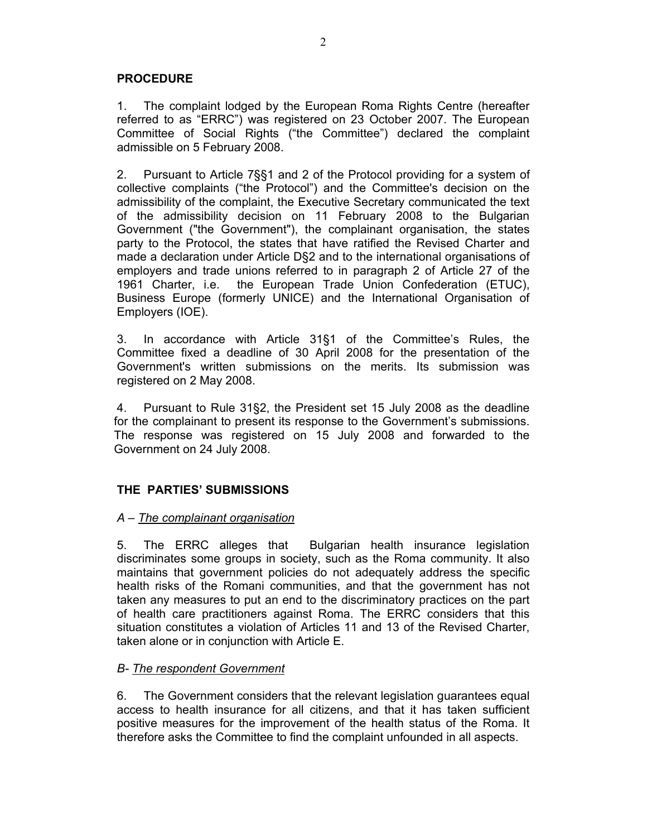## **PROCEDURE**

1. The complaint lodged by the European Roma Rights Centre (hereafter referred to as "ERRC") was registered on 23 October 2007. The European Committee of Social Rights ("the Committee") declared the complaint admissible on 5 February 2008.

2. Pursuant to Article 7§§1 and 2 of the Protocol providing for a system of collective complaints ("the Protocol") and the Committee's decision on the admissibility of the complaint, the Executive Secretary communicated the text of the admissibility decision on 11 February 2008 to the Bulgarian Government ("the Government"), the complainant organisation, the states party to the Protocol, the states that have ratified the Revised Charter and made a declaration under Article D§2 and to the international organisations of employers and trade unions referred to in paragraph 2 of Article 27 of the 1961 Charter, i.e. the European Trade Union Confederation (ETUC), Business Europe (formerly UNICE) and the International Organisation of Employers (IOE).

3. In accordance with Article 31§1 of the Committee's Rules, the Committee fixed a deadline of 30 April 2008 for the presentation of the Government's written submissions on the merits. Its submission was registered on 2 May 2008.

4. Pursuant to Rule 31§2, the President set 15 July 2008 as the deadline for the complainant to present its response to the Government's submissions. The response was registered on 15 July 2008 and forwarded to the Government on 24 July 2008.

## **THE PARTIES' SUBMISSIONS**

### *A – The complainant organisation*

5. The ERRC alleges that Bulgarian health insurance legislation discriminates some groups in society, such as the Roma community. It also maintains that government policies do not adequately address the specific health risks of the Romani communities, and that the government has not taken any measures to put an end to the discriminatory practices on the part of health care practitioners against Roma. The ERRC considers that this situation constitutes a violation of Articles 11 and 13 of the Revised Charter, taken alone or in conjunction with Article E.

### *B- The respondent Government*

6. The Government considers that the relevant legislation guarantees equal access to health insurance for all citizens, and that it has taken sufficient positive measures for the improvement of the health status of the Roma. It therefore asks the Committee to find the complaint unfounded in all aspects.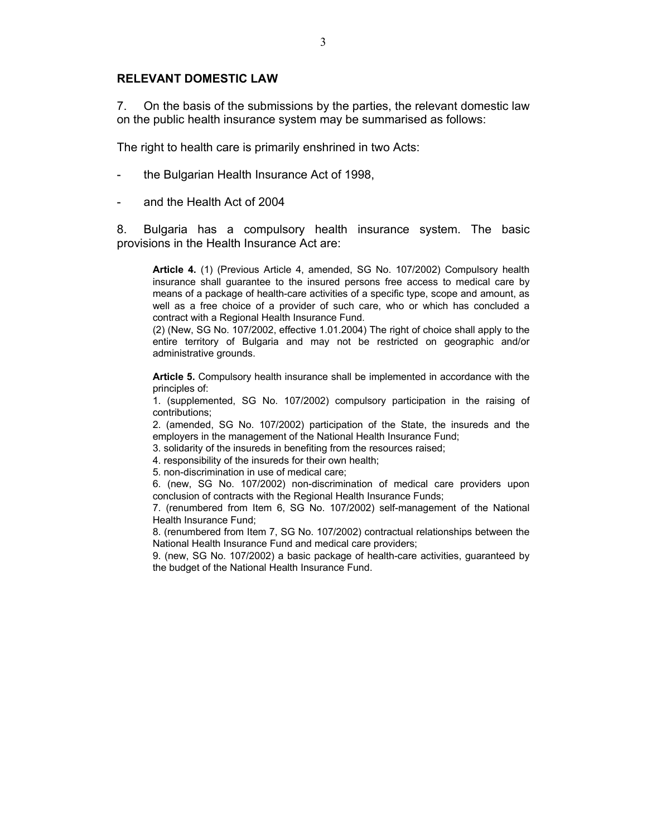#### **RELEVANT DOMESTIC LAW**

7. On the basis of the submissions by the parties, the relevant domestic law on the public health insurance system may be summarised as follows:

The right to health care is primarily enshrined in two Acts:

- the Bulgarian Health Insurance Act of 1998,
- and the Health Act of 2004

8. Bulgaria has a compulsory health insurance system. The basic provisions in the Health Insurance Act are:

**Article 4.** (1) (Previous Article 4, amended, SG No. 107/2002) Compulsory health insurance shall guarantee to the insured persons free access to medical care by means of a package of health-care activities of a specific type, scope and amount, as well as a free choice of a provider of such care, who or which has concluded a contract with a Regional Health Insurance Fund.

(2) (New, SG No. 107/2002, effective 1.01.2004) The right of choice shall apply to the entire territory of Bulgaria and may not be restricted on geographic and/or administrative grounds.

**Article 5.** Compulsory health insurance shall be implemented in accordance with the principles of:

1. (supplemented, SG No. 107/2002) compulsory participation in the raising of contributions;

2. (amended, SG No. 107/2002) participation of the State, the insureds and the employers in the management of the National Health Insurance Fund;

3. solidarity of the insureds in benefiting from the resources raised;

4. responsibility of the insureds for their own health;

5. non-discrimination in use of medical care;

6. (new, SG No. 107/2002) non-discrimination of medical care providers upon conclusion of contracts with the Regional Health Insurance Funds;

7. (renumbered from Item 6, SG No. 107/2002) self-management of the National Health Insurance Fund;

8. (renumbered from Item 7, SG No. 107/2002) contractual relationships between the National Health Insurance Fund and medical care providers;

9. (new, SG No. 107/2002) a basic package of health-care activities, guaranteed by the budget of the National Health Insurance Fund.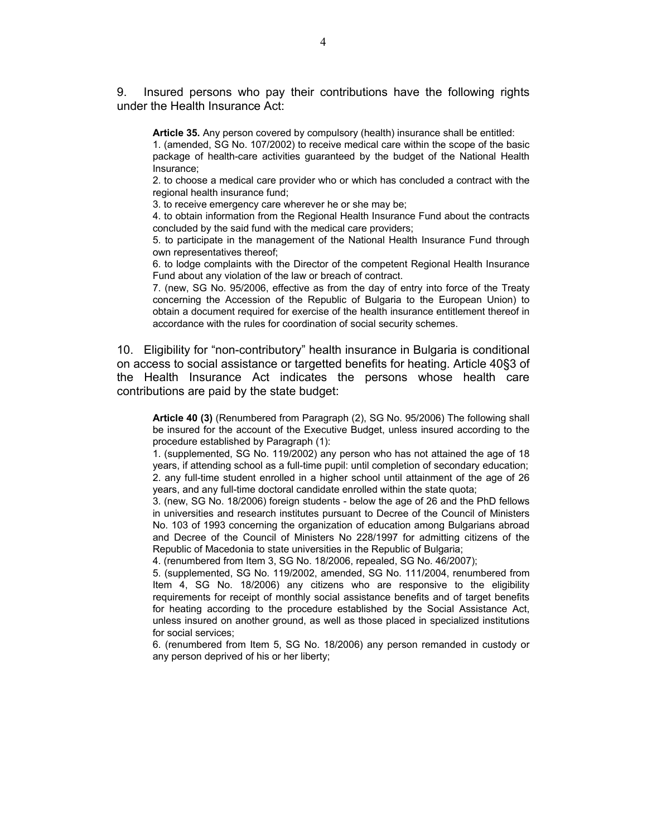9. Insured persons who pay their contributions have the following rights under the Health Insurance Act:

**Article 35.** Any person covered by compulsory (health) insurance shall be entitled:

1. (amended, SG No. 107/2002) to receive medical care within the scope of the basic package of health-care activities guaranteed by the budget of the National Health Insurance;

2. to choose a medical care provider who or which has concluded a contract with the regional health insurance fund;

3. to receive emergency care wherever he or she may be;

4. to obtain information from the Regional Health Insurance Fund about the contracts concluded by the said fund with the medical care providers;

5. to participate in the management of the National Health Insurance Fund through own representatives thereof;

6. to lodge complaints with the Director of the competent Regional Health Insurance Fund about any violation of the law or breach of contract.

7. (new, SG No. 95/2006, effective as from the day of entry into force of the Treaty concerning the Accession of the Republic of Bulgaria to the European Union) to obtain a document required for exercise of the health insurance entitlement thereof in accordance with the rules for coordination of social security schemes.

10. Eligibility for "non-contributory" health insurance in Bulgaria is conditional on access to social assistance or targetted benefits for heating. Article 40§3 of the Health Insurance Act indicates the persons whose health care contributions are paid by the state budget:

**Article 40 (3)** (Renumbered from Paragraph (2), SG No. 95/2006) The following shall be insured for the account of the Executive Budget, unless insured according to the procedure established by Paragraph (1):

1. (supplemented, SG No. 119/2002) any person who has not attained the age of 18 years, if attending school as a full-time pupil: until completion of secondary education; 2. any full-time student enrolled in a higher school until attainment of the age of 26 years, and any full-time doctoral candidate enrolled within the state quota;

3. (new, SG No. 18/2006) foreign students - below the age of 26 and the PhD fellows in universities and research institutes pursuant to Decree of the Council of Ministers No. 103 of 1993 concerning the organization of education among Bulgarians abroad and Decree of the Council of Ministers No 228/1997 for admitting citizens of the Republic of Macedonia to state universities in the Republic of Bulgaria;

4. (renumbered from Item 3, SG No. 18/2006, repealed, SG No. 46/2007);

5. (supplemented, SG No. 119/2002, amended, SG No. 111/2004, renumbered from Item 4, SG No. 18/2006) any citizens who are responsive to the eligibility requirements for receipt of monthly social assistance benefits and of target benefits for heating according to the procedure established by the Social Assistance Act, unless insured on another ground, as well as those placed in specialized institutions for social services;

6. (renumbered from Item 5, SG No. 18/2006) any person remanded in custody or any person deprived of his or her liberty;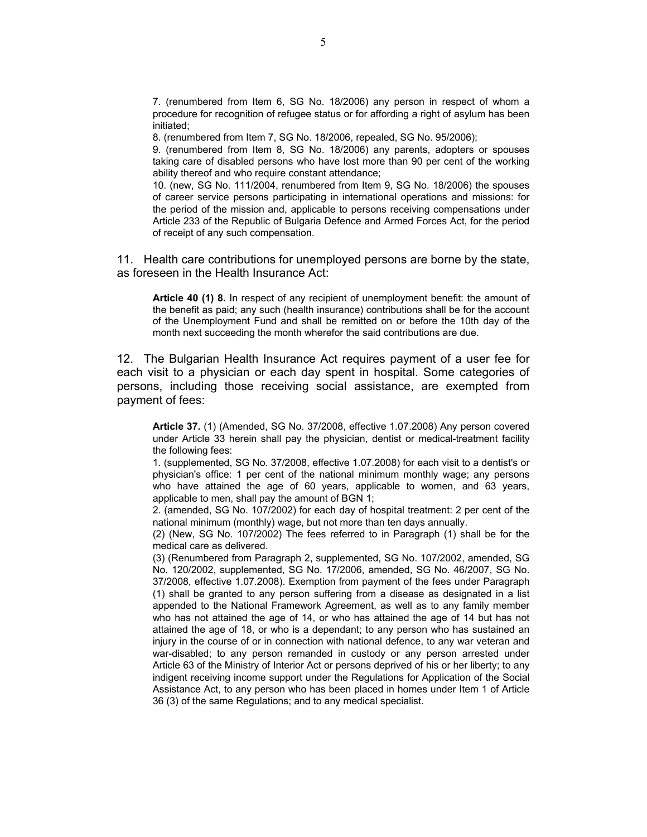7. (renumbered from Item 6, SG No. 18/2006) any person in respect of whom a procedure for recognition of refugee status or for affording a right of asylum has been initiated;

8. (renumbered from Item 7, SG No. 18/2006, repealed, SG No. 95/2006);

9. (renumbered from Item 8, SG No. 18/2006) any parents, adopters or spouses taking care of disabled persons who have lost more than 90 per cent of the working ability thereof and who require constant attendance;

10. (new, SG No. 111/2004, renumbered from Item 9, SG No. 18/2006) the spouses of career service persons participating in international operations and missions: for the period of the mission and, applicable to persons receiving compensations under Article 233 of the Republic of Bulgaria Defence and Armed Forces Act, for the period of receipt of any such compensation.

11. Health care contributions for unemployed persons are borne by the state, as foreseen in the Health Insurance Act:

**Article 40 (1) 8.** In respect of any recipient of unemployment benefit: the amount of the benefit as paid; any such (health insurance) contributions shall be for the account of the Unemployment Fund and shall be remitted on or before the 10th day of the month next succeeding the month wherefor the said contributions are due.

12. The Bulgarian Health Insurance Act requires payment of a user fee for each visit to a physician or each day spent in hospital. Some categories of persons, including those receiving social assistance, are exempted from payment of fees:

**Article 37.** (1) (Amended, SG No. 37/2008, effective 1.07.2008) Any person covered under Article 33 herein shall pay the physician, dentist or medical-treatment facility the following fees:

1. (supplemented, SG No. 37/2008, effective 1.07.2008) for each visit to a dentist's or physician's office: 1 per cent of the national minimum monthly wage; any persons who have attained the age of 60 years, applicable to women, and 63 years, applicable to men, shall pay the amount of BGN 1;

2. (amended, SG No. 107/2002) for each day of hospital treatment: 2 per cent of the national minimum (monthly) wage, but not more than ten days annually.

(2) (New, SG No. 107/2002) The fees referred to in Paragraph (1) shall be for the medical care as delivered.

(3) (Renumbered from Paragraph 2, supplemented, SG No. 107/2002, amended, SG No. 120/2002, supplemented, SG No. 17/2006, amended, SG No. 46/2007, SG No. 37/2008, effective 1.07.2008). Exemption from payment of the fees under Paragraph (1) shall be granted to any person suffering from a disease as designated in a list appended to the National Framework Agreement, as well as to any family member who has not attained the age of 14, or who has attained the age of 14 but has not attained the age of 18, or who is a dependant; to any person who has sustained an injury in the course of or in connection with national defence, to any war veteran and war-disabled; to any person remanded in custody or any person arrested under Article 63 of the Ministry of Interior Act or persons deprived of his or her liberty; to any indigent receiving income support under the Regulations for Application of the Social Assistance Act, to any person who has been placed in homes under Item 1 of Article 36 (3) of the same Regulations; and to any medical specialist.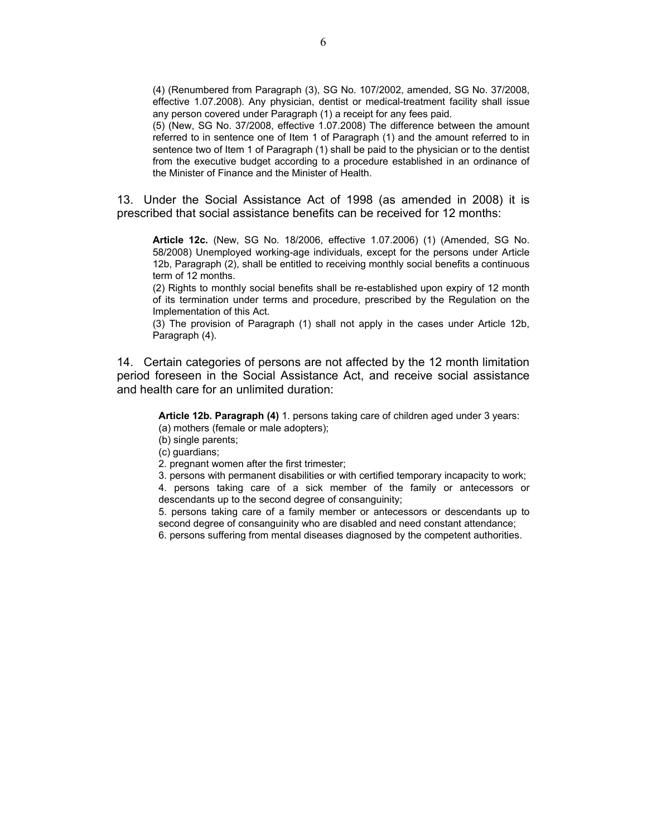(4) (Renumbered from Paragraph (3), SG No. 107/2002, amended, SG No. 37/2008, effective 1.07.2008). Any physician, dentist or medical-treatment facility shall issue any person covered under Paragraph (1) a receipt for any fees paid.

(5) (New, SG No. 37/2008, effective 1.07.2008) The difference between the amount referred to in sentence one of Item 1 of Paragraph (1) and the amount referred to in sentence two of Item 1 of Paragraph (1) shall be paid to the physician or to the dentist from the executive budget according to a procedure established in an ordinance of the Minister of Finance and the Minister of Health.

13. Under the Social Assistance Act of 1998 (as amended in 2008) it is prescribed that social assistance benefits can be received for 12 months:

**Article 12c.** (New, SG No. 18/2006, effective 1.07.2006) (1) (Amended, SG No. 58/2008) Unemployed working-age individuals, except for the persons under Article 12b, Paragraph (2), shall be entitled to receiving monthly social benefits a continuous term of 12 months.

(2) Rights to monthly social benefits shall be re-established upon expiry of 12 month of its termination under terms and procedure, prescribed by the Regulation on the Implementation of this Act.

(3) The provision of Paragraph (1) shall not apply in the cases under Article 12b, Paragraph (4).

14. Certain categories of persons are not affected by the 12 month limitation period foreseen in the Social Assistance Act, and receive social assistance and health care for an unlimited duration:

**Article 12b. Paragraph (4)** 1. persons taking care of children aged under 3 years: (a) mothers (female or male adopters);

(b) single parents;

(c) guardians;

2. pregnant women after the first trimester;

3. persons with permanent disabilities or with certified temporary incapacity to work; 4. persons taking care of a sick member of the family or antecessors or descendants up to the second degree of consanguinity;

5. persons taking care of a family member or antecessors or descendants up to second degree of consanguinity who are disabled and need constant attendance;

6. persons suffering from mental diseases diagnosed by the competent authorities.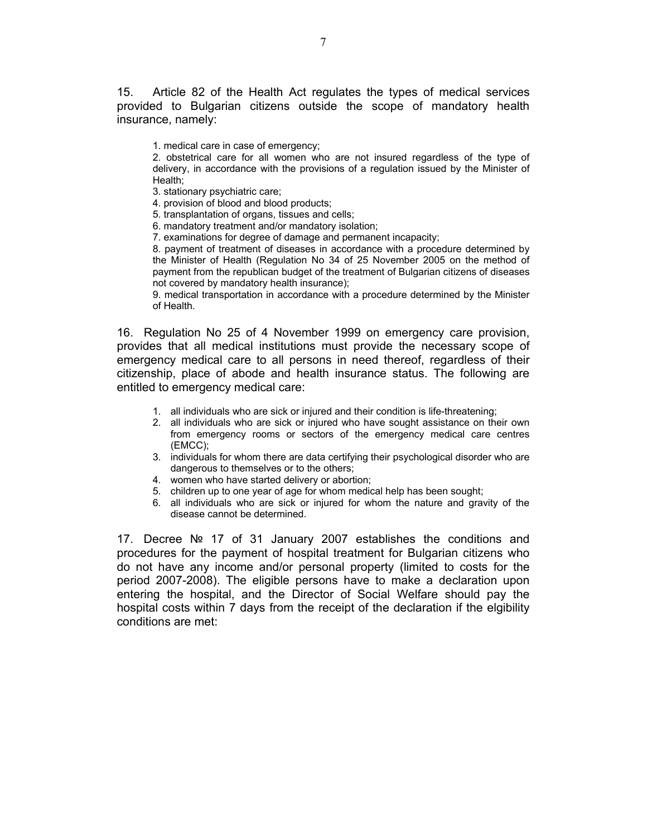15. Article 82 of the Health Act regulates the types of medical services provided to Bulgarian citizens outside the scope of mandatory health insurance, namely:

1. medical care in case of emergency;

2. obstetrical care for all women who are not insured regardless of the type of delivery, in accordance with the provisions of a regulation issued by the Minister of Health;

3. stationary psychiatric care;

4. provision of blood and blood products;

5. transplantation of organs, tissues and cells;

6. mandatory treatment and/or mandatory isolation;

7. examinations for degree of damage and permanent incapacity;

8. payment of treatment of diseases in accordance with a procedure determined by the Minister of Health (Regulation No 34 of 25 November 2005 on the method of payment from the republican budget of the treatment of Bulgarian citizens of diseases not covered by mandatory health insurance);

9. medical transportation in accordance with a procedure determined by the Minister of Health.

16. Regulation No 25 of 4 November 1999 on emergency care provision, provides that all medical institutions must provide the necessary scope of emergency medical care to all persons in need thereof, regardless of their citizenship, place of abode and health insurance status. The following are entitled to emergency medical care:

- 1. all individuals who are sick or injured and their condition is life-threatening;
- 2. all individuals who are sick or injured who have sought assistance on their own from emergency rooms or sectors of the emergency medical care centres (EMCC);
- 3. individuals for whom there are data certifying their psychological disorder who are dangerous to themselves or to the others;
- 4. women who have started delivery or abortion;
- 5. children up to one year of age for whom medical help has been sought;
- 6. all individuals who are sick or injured for whom the nature and gravity of the disease cannot be determined.

17. Decree № 17 of 31 January 2007 establishes the conditions and procedures for the payment of hospital treatment for Bulgarian citizens who do not have any income and/or personal property (limited to costs for the period 2007-2008). The eligible persons have to make a declaration upon entering the hospital, and the Director of Social Welfare should pay the hospital costs within 7 days from the receipt of the declaration if the elgibility conditions are met: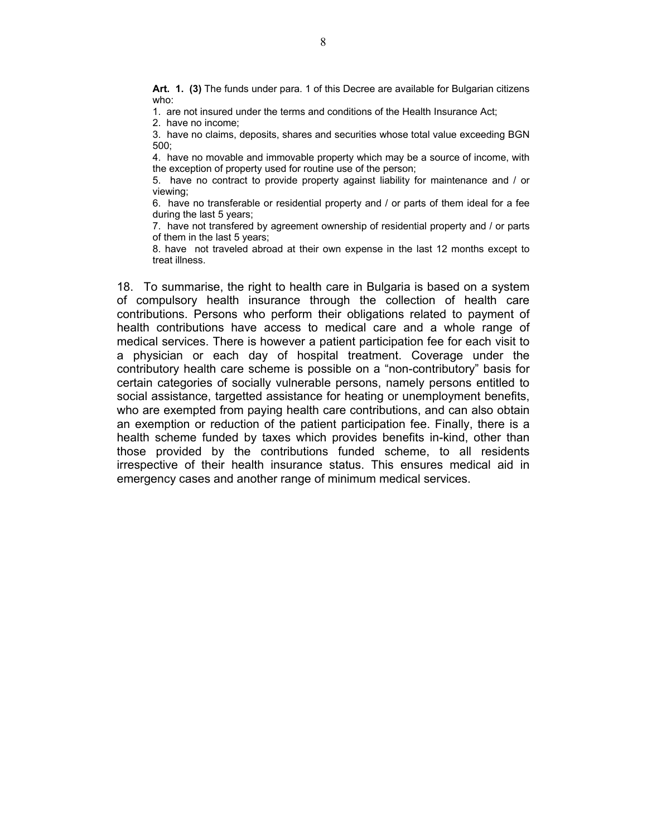**Art. 1. (3)** The funds under para. 1 of this Decree are available for Bulgarian citizens who:

1. are not insured under the terms and conditions of the Health Insurance Act;

2. have no income;

3. have no claims, deposits, shares and securities whose total value exceeding BGN 500;

4. have no movable and immovable property which may be a source of income, with the exception of property used for routine use of the person;

5. have no contract to provide property against liability for maintenance and / or viewing;

6. have no transferable or residential property and / or parts of them ideal for a fee during the last 5 years;

7. have not transfered by agreement ownership of residential property and / or parts of them in the last 5 years;

8. have not traveled abroad at their own expense in the last 12 months except to treat illness.

18. To summarise, the right to health care in Bulgaria is based on a system of compulsory health insurance through the collection of health care contributions. Persons who perform their obligations related to payment of health contributions have access to medical care and a whole range of medical services. There is however a patient participation fee for each visit to a physician or each day of hospital treatment. Coverage under the contributory health care scheme is possible on a "non-contributory" basis for certain categories of socially vulnerable persons, namely persons entitled to social assistance, targetted assistance for heating or unemployment benefits, who are exempted from paying health care contributions, and can also obtain an exemption or reduction of the patient participation fee. Finally, there is a health scheme funded by taxes which provides benefits in-kind, other than those provided by the contributions funded scheme, to all residents irrespective of their health insurance status. This ensures medical aid in emergency cases and another range of minimum medical services.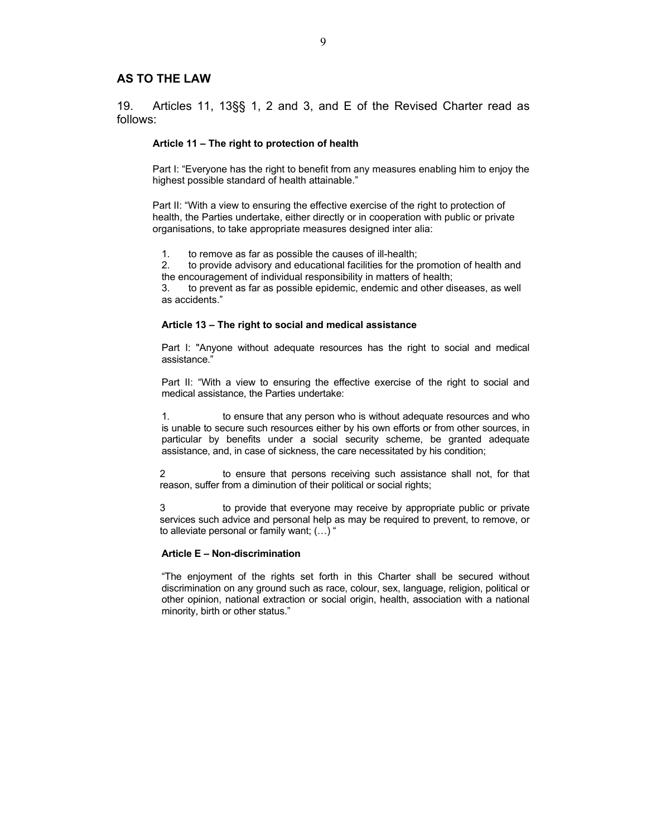#### **AS TO THE LAW**

19. Articles 11, 13§§ 1, 2 and 3, and E of the Revised Charter read as follows:

#### **Article 11 – The right to protection of health**

Part I: "Everyone has the right to benefit from any measures enabling him to enjoy the highest possible standard of health attainable."

Part II: "With a view to ensuring the effective exercise of the right to protection of health, the Parties undertake, either directly or in cooperation with public or private organisations, to take appropriate measures designed inter alia:

1. to remove as far as possible the causes of ill-health;

2. to provide advisory and educational facilities for the promotion of health and the encouragement of individual responsibility in matters of health;

3. to prevent as far as possible epidemic, endemic and other diseases, as well as accidents."

#### **Article 13 – The right to social and medical assistance**

Part I: "Anyone without adequate resources has the right to social and medical assistance."

Part II: "With a view to ensuring the effective exercise of the right to social and medical assistance, the Parties undertake:

1. to ensure that any person who is without adequate resources and who is unable to secure such resources either by his own efforts or from other sources, in particular by benefits under a social security scheme, be granted adequate assistance, and, in case of sickness, the care necessitated by his condition;

 2 to ensure that persons receiving such assistance shall not, for that reason, suffer from a diminution of their political or social rights;

 3 to provide that everyone may receive by appropriate public or private services such advice and personal help as may be required to prevent, to remove, or to alleviate personal or family want; (…) "

#### **Article E – Non-discrimination**

"The enjoyment of the rights set forth in this Charter shall be secured without discrimination on any ground such as race, colour, sex, language, religion, political or other opinion, national extraction or social origin, health, association with a national minority, birth or other status."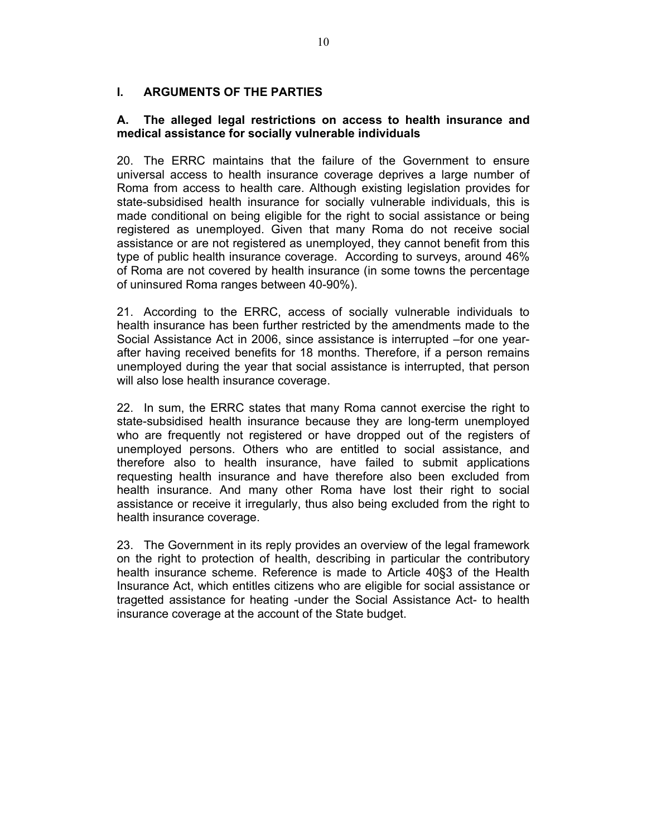## **I. ARGUMENTS OF THE PARTIES**

## **A. The alleged legal restrictions on access to health insurance and medical assistance for socially vulnerable individuals**

20. The ERRC maintains that the failure of the Government to ensure universal access to health insurance coverage deprives a large number of Roma from access to health care. Although existing legislation provides for state-subsidised health insurance for socially vulnerable individuals, this is made conditional on being eligible for the right to social assistance or being registered as unemployed. Given that many Roma do not receive social assistance or are not registered as unemployed, they cannot benefit from this type of public health insurance coverage. According to surveys, around 46% of Roma are not covered by health insurance (in some towns the percentage of uninsured Roma ranges between 40-90%).

21. According to the ERRC, access of socially vulnerable individuals to health insurance has been further restricted by the amendments made to the Social Assistance Act in 2006, since assistance is interrupted –for one yearafter having received benefits for 18 months. Therefore, if a person remains unemployed during the year that social assistance is interrupted, that person will also lose health insurance coverage.

22. In sum, the ERRC states that many Roma cannot exercise the right to state-subsidised health insurance because they are long-term unemployed who are frequently not registered or have dropped out of the registers of unemployed persons. Others who are entitled to social assistance, and therefore also to health insurance, have failed to submit applications requesting health insurance and have therefore also been excluded from health insurance. And many other Roma have lost their right to social assistance or receive it irregularly, thus also being excluded from the right to health insurance coverage.

23. The Government in its reply provides an overview of the legal framework on the right to protection of health, describing in particular the contributory health insurance scheme. Reference is made to Article 40§3 of the Health Insurance Act, which entitles citizens who are eligible for social assistance or tragetted assistance for heating -under the Social Assistance Act- to health insurance coverage at the account of the State budget.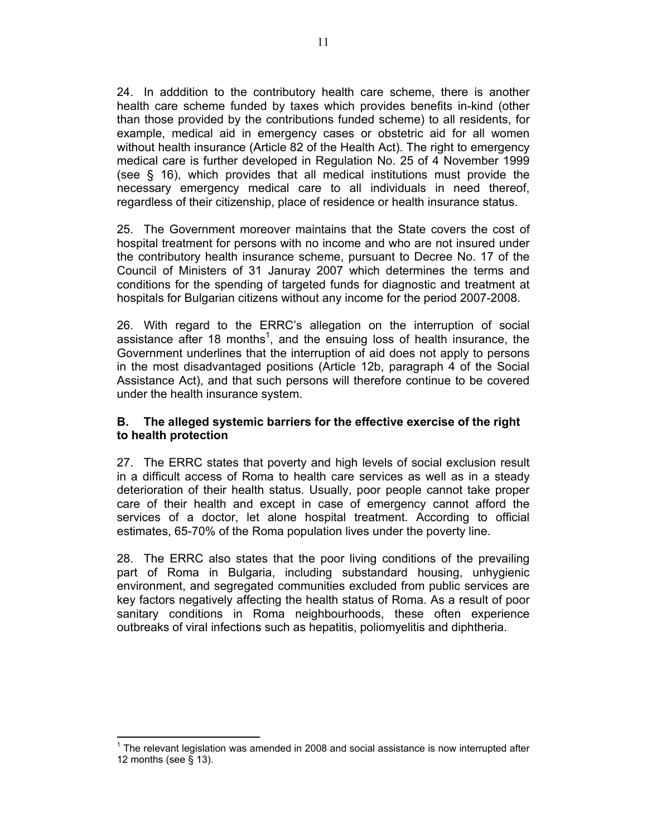24. In adddition to the contributory health care scheme, there is another health care scheme funded by taxes which provides benefits in-kind (other than those provided by the contributions funded scheme) to all residents, for example, medical aid in emergency cases or obstetric aid for all women without health insurance (Article 82 of the Health Act). The right to emergency medical care is further developed in Regulation No. 25 of 4 November 1999 (see § 16), which provides that all medical institutions must provide the necessary emergency medical care to all individuals in need thereof, regardless of their citizenship, place of residence or health insurance status.

25. The Government moreover maintains that the State covers the cost of hospital treatment for persons with no income and who are not insured under the contributory health insurance scheme, pursuant to Decree No. 17 of the Council of Ministers of 31 Januray 2007 which determines the terms and conditions for the spending of targeted funds for diagnostic and treatment at hospitals for Bulgarian citizens without any income for the period 2007-2008.

26. With regard to the ERRC's allegation on the interruption of social assistance after 18 months<sup>1</sup>, and the ensuing loss of health insurance, the Government underlines that the interruption of aid does not apply to persons in the most disadvantaged positions (Article 12b, paragraph 4 of the Social Assistance Act), and that such persons will therefore continue to be covered under the health insurance system.

## **B. The alleged systemic barriers for the effective exercise of the right to health protection**

27. The ERRC states that poverty and high levels of social exclusion result in a difficult access of Roma to health care services as well as in a steady deterioration of their health status. Usually, poor people cannot take proper care of their health and except in case of emergency cannot afford the services of a doctor, let alone hospital treatment. According to official estimates, 65-70% of the Roma population lives under the poverty line.

28. The ERRC also states that the poor living conditions of the prevailing part of Roma in Bulgaria, including substandard housing, unhygienic environment, and segregated communities excluded from public services are key factors negatively affecting the health status of Roma. As a result of poor sanitary conditions in Roma neighbourhoods, these often experience outbreaks of viral infections such as hepatitis, poliomyelitis and diphtheria.

 $\overline{a}$  $1$  The relevant legislation was amended in 2008 and social assistance is now interrupted after 12 months (see § 13).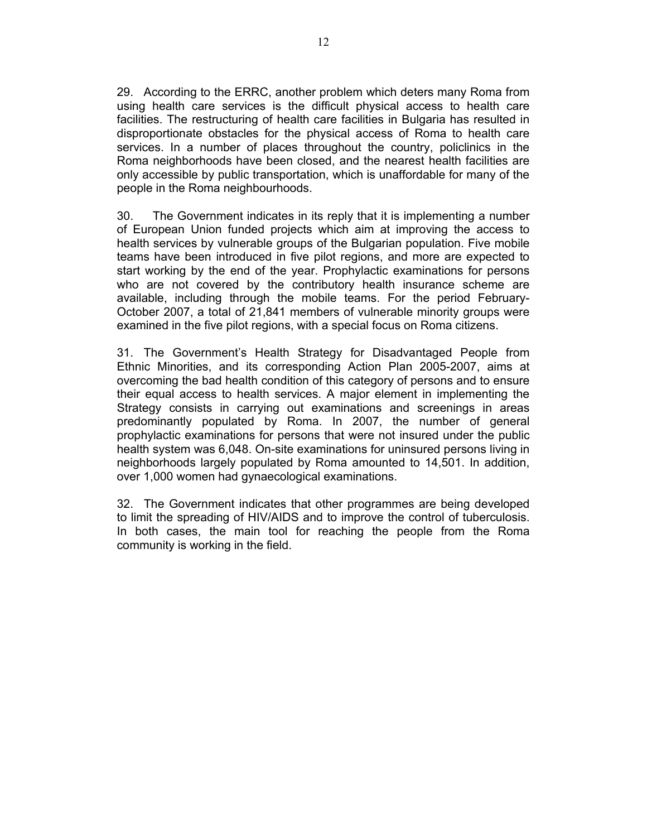29. According to the ERRC, another problem which deters many Roma from using health care services is the difficult physical access to health care facilities. The restructuring of health care facilities in Bulgaria has resulted in disproportionate obstacles for the physical access of Roma to health care services. In a number of places throughout the country, policlinics in the Roma neighborhoods have been closed, and the nearest health facilities are only accessible by public transportation, which is unaffordable for many of the people in the Roma neighbourhoods.

30. The Government indicates in its reply that it is implementing a number of European Union funded projects which aim at improving the access to health services by vulnerable groups of the Bulgarian population. Five mobile teams have been introduced in five pilot regions, and more are expected to start working by the end of the year. Prophylactic examinations for persons who are not covered by the contributory health insurance scheme are available, including through the mobile teams. For the period February-October 2007, a total of 21,841 members of vulnerable minority groups were examined in the five pilot regions, with a special focus on Roma citizens.

31. The Government's Health Strategy for Disadvantaged People from Ethnic Minorities, and its corresponding Action Plan 2005-2007, aims at overcoming the bad health condition of this category of persons and to ensure their equal access to health services. A major element in implementing the Strategy consists in carrying out examinations and screenings in areas predominantly populated by Roma. In 2007, the number of general prophylactic examinations for persons that were not insured under the public health system was 6,048. On-site examinations for uninsured persons living in neighborhoods largely populated by Roma amounted to 14,501. In addition, over 1,000 women had gynaecological examinations.

32. The Government indicates that other programmes are being developed to limit the spreading of HIV/AIDS and to improve the control of tuberculosis. In both cases, the main tool for reaching the people from the Roma community is working in the field.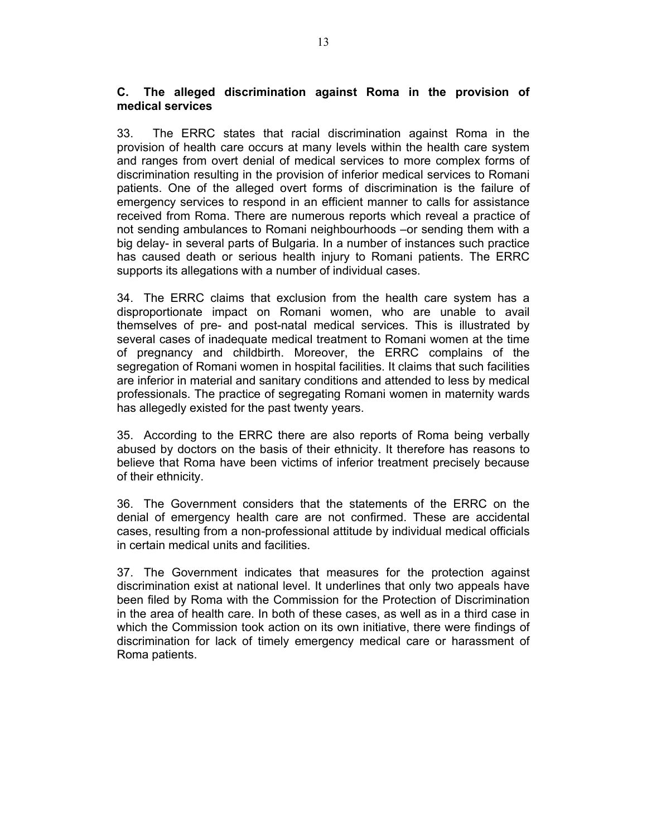## **C. The alleged discrimination against Roma in the provision of medical services**

33. The ERRC states that racial discrimination against Roma in the provision of health care occurs at many levels within the health care system and ranges from overt denial of medical services to more complex forms of discrimination resulting in the provision of inferior medical services to Romani patients. One of the alleged overt forms of discrimination is the failure of emergency services to respond in an efficient manner to calls for assistance received from Roma. There are numerous reports which reveal a practice of not sending ambulances to Romani neighbourhoods –or sending them with a big delay- in several parts of Bulgaria. In a number of instances such practice has caused death or serious health injury to Romani patients. The ERRC supports its allegations with a number of individual cases.

34. The ERRC claims that exclusion from the health care system has a disproportionate impact on Romani women, who are unable to avail themselves of pre- and post-natal medical services. This is illustrated by several cases of inadequate medical treatment to Romani women at the time of pregnancy and childbirth. Moreover, the ERRC complains of the segregation of Romani women in hospital facilities. It claims that such facilities are inferior in material and sanitary conditions and attended to less by medical professionals. The practice of segregating Romani women in maternity wards has allegedly existed for the past twenty years.

35. According to the ERRC there are also reports of Roma being verbally abused by doctors on the basis of their ethnicity. It therefore has reasons to believe that Roma have been victims of inferior treatment precisely because of their ethnicity.

36. The Government considers that the statements of the ERRC on the denial of emergency health care are not confirmed. These are accidental cases, resulting from a non-professional attitude by individual medical officials in certain medical units and facilities.

37. The Government indicates that measures for the protection against discrimination exist at national level. It underlines that only two appeals have been filed by Roma with the Commission for the Protection of Discrimination in the area of health care. In both of these cases, as well as in a third case in which the Commission took action on its own initiative, there were findings of discrimination for lack of timely emergency medical care or harassment of Roma patients.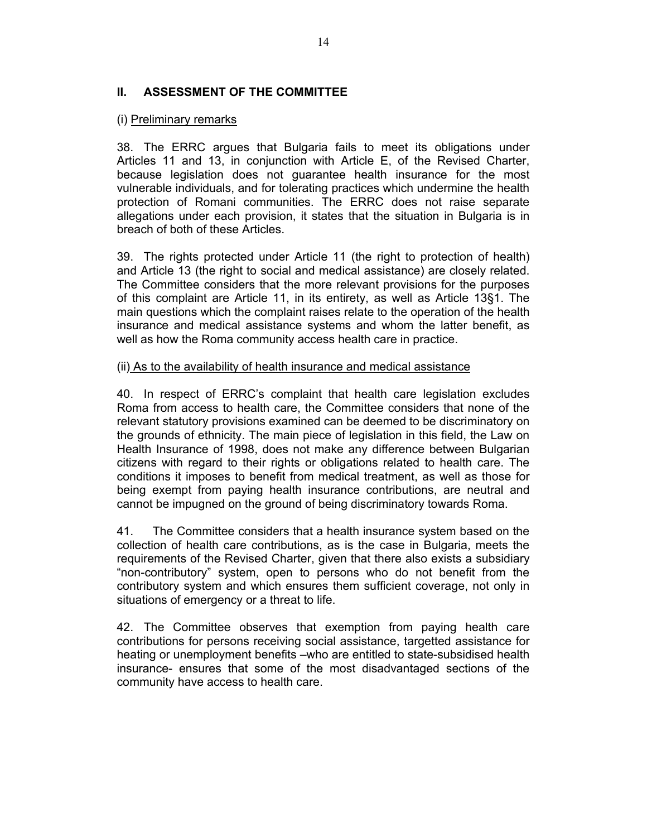## **II. ASSESSMENT OF THE COMMITTEE**

## (i) Preliminary remarks

38. The ERRC argues that Bulgaria fails to meet its obligations under Articles 11 and 13, in conjunction with Article E, of the Revised Charter, because legislation does not guarantee health insurance for the most vulnerable individuals, and for tolerating practices which undermine the health protection of Romani communities. The ERRC does not raise separate allegations under each provision, it states that the situation in Bulgaria is in breach of both of these Articles.

39. The rights protected under Article 11 (the right to protection of health) and Article 13 (the right to social and medical assistance) are closely related. The Committee considers that the more relevant provisions for the purposes of this complaint are Article 11, in its entirety, as well as Article 13§1. The main questions which the complaint raises relate to the operation of the health insurance and medical assistance systems and whom the latter benefit, as well as how the Roma community access health care in practice.

## (ii) As to the availability of health insurance and medical assistance

40. In respect of ERRC's complaint that health care legislation excludes Roma from access to health care, the Committee considers that none of the relevant statutory provisions examined can be deemed to be discriminatory on the grounds of ethnicity. The main piece of legislation in this field, the Law on Health Insurance of 1998, does not make any difference between Bulgarian citizens with regard to their rights or obligations related to health care. The conditions it imposes to benefit from medical treatment, as well as those for being exempt from paying health insurance contributions, are neutral and cannot be impugned on the ground of being discriminatory towards Roma.

41. The Committee considers that a health insurance system based on the collection of health care contributions, as is the case in Bulgaria, meets the requirements of the Revised Charter, given that there also exists a subsidiary "non-contributory" system, open to persons who do not benefit from the contributory system and which ensures them sufficient coverage, not only in situations of emergency or a threat to life.

42. The Committee observes that exemption from paying health care contributions for persons receiving social assistance, targetted assistance for heating or unemployment benefits –who are entitled to state-subsidised health insurance- ensures that some of the most disadvantaged sections of the community have access to health care.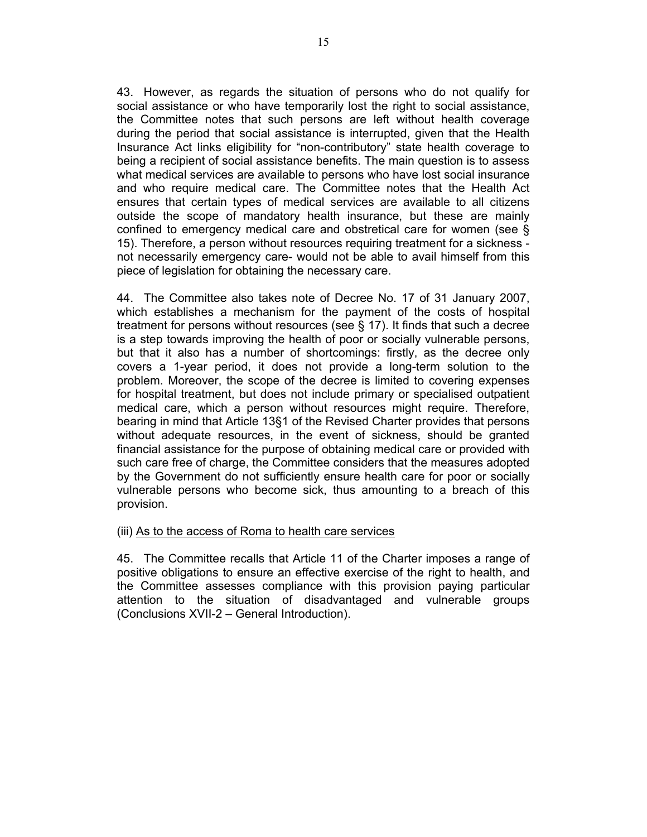43. However, as regards the situation of persons who do not qualify for social assistance or who have temporarily lost the right to social assistance, the Committee notes that such persons are left without health coverage during the period that social assistance is interrupted, given that the Health Insurance Act links eligibility for "non-contributory" state health coverage to being a recipient of social assistance benefits. The main question is to assess what medical services are available to persons who have lost social insurance and who require medical care. The Committee notes that the Health Act ensures that certain types of medical services are available to all citizens outside the scope of mandatory health insurance, but these are mainly confined to emergency medical care and obstretical care for women (see § 15). Therefore, a person without resources requiring treatment for a sickness not necessarily emergency care- would not be able to avail himself from this piece of legislation for obtaining the necessary care.

44. The Committee also takes note of Decree No. 17 of 31 January 2007, which establishes a mechanism for the payment of the costs of hospital treatment for persons without resources (see § 17). It finds that such a decree is a step towards improving the health of poor or socially vulnerable persons, but that it also has a number of shortcomings: firstly, as the decree only covers a 1-year period, it does not provide a long-term solution to the problem. Moreover, the scope of the decree is limited to covering expenses for hospital treatment, but does not include primary or specialised outpatient medical care, which a person without resources might require. Therefore, bearing in mind that Article 13§1 of the Revised Charter provides that persons without adequate resources, in the event of sickness, should be granted financial assistance for the purpose of obtaining medical care or provided with such care free of charge, the Committee considers that the measures adopted by the Government do not sufficiently ensure health care for poor or socially vulnerable persons who become sick, thus amounting to a breach of this provision.

### (iii) As to the access of Roma to health care services

45. The Committee recalls that Article 11 of the Charter imposes a range of positive obligations to ensure an effective exercise of the right to health, and the Committee assesses compliance with this provision paying particular attention to the situation of disadvantaged and vulnerable groups (Conclusions XVII-2 – General Introduction).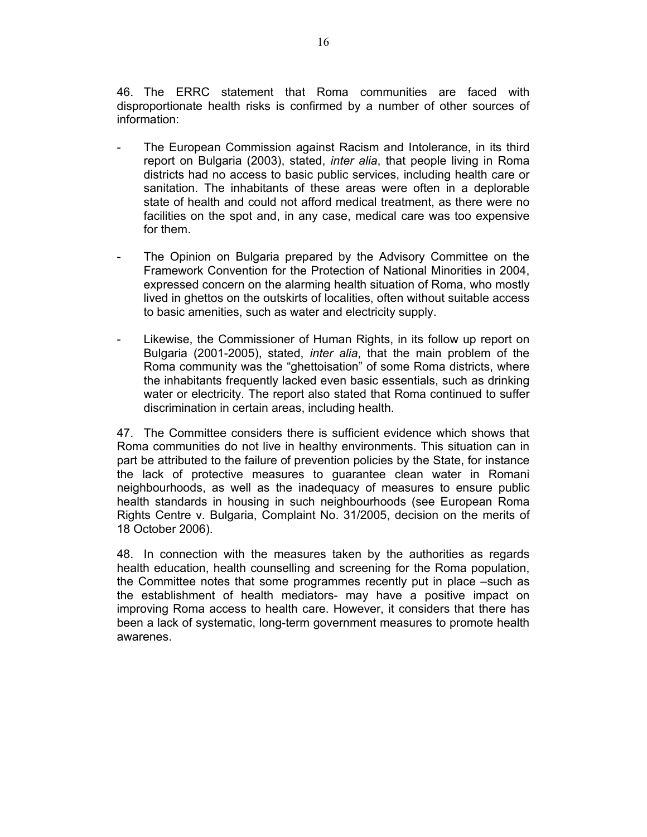46. The ERRC statement that Roma communities are faced with disproportionate health risks is confirmed by a number of other sources of information:

- The European Commission against Racism and Intolerance, in its third report on Bulgaria (2003), stated, *inter alia*, that people living in Roma districts had no access to basic public services, including health care or sanitation. The inhabitants of these areas were often in a deplorable state of health and could not afford medical treatment, as there were no facilities on the spot and, in any case, medical care was too expensive for them.
- The Opinion on Bulgaria prepared by the Advisory Committee on the Framework Convention for the Protection of National Minorities in 2004, expressed concern on the alarming health situation of Roma, who mostly lived in ghettos on the outskirts of localities, often without suitable access to basic amenities, such as water and electricity supply.
- Likewise, the Commissioner of Human Rights, in its follow up report on Bulgaria (2001-2005), stated, *inter alia*, that the main problem of the Roma community was the "ghettoisation" of some Roma districts, where the inhabitants frequently lacked even basic essentials, such as drinking water or electricity. The report also stated that Roma continued to suffer discrimination in certain areas, including health.

47. The Committee considers there is sufficient evidence which shows that Roma communities do not live in healthy environments. This situation can in part be attributed to the failure of prevention policies by the State, for instance the lack of protective measures to guarantee clean water in Romani neighbourhoods, as well as the inadequacy of measures to ensure public health standards in housing in such neighbourhoods (see European Roma Rights Centre v. Bulgaria, Complaint No. 31/2005, decision on the merits of 18 October 2006).

48. In connection with the measures taken by the authorities as regards health education, health counselling and screening for the Roma population, the Committee notes that some programmes recently put in place –such as the establishment of health mediators- may have a positive impact on improving Roma access to health care. However, it considers that there has been a lack of systematic, long-term government measures to promote health awarenes.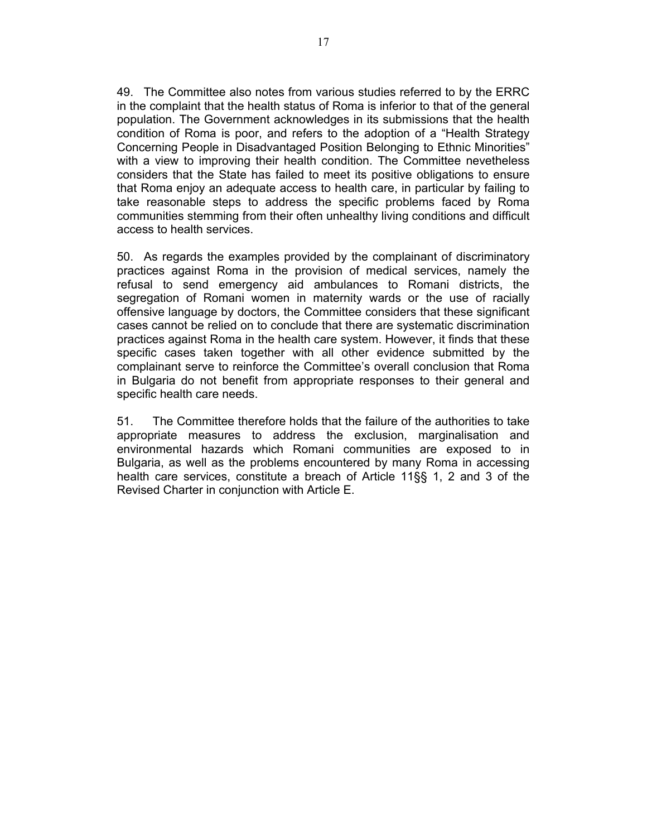49. The Committee also notes from various studies referred to by the ERRC in the complaint that the health status of Roma is inferior to that of the general population. The Government acknowledges in its submissions that the health condition of Roma is poor, and refers to the adoption of a "Health Strategy Concerning People in Disadvantaged Position Belonging to Ethnic Minorities" with a view to improving their health condition. The Committee nevetheless considers that the State has failed to meet its positive obligations to ensure that Roma enjoy an adequate access to health care, in particular by failing to take reasonable steps to address the specific problems faced by Roma communities stemming from their often unhealthy living conditions and difficult access to health services.

50. As regards the examples provided by the complainant of discriminatory practices against Roma in the provision of medical services, namely the refusal to send emergency aid ambulances to Romani districts, the segregation of Romani women in maternity wards or the use of racially offensive language by doctors, the Committee considers that these significant cases cannot be relied on to conclude that there are systematic discrimination practices against Roma in the health care system. However, it finds that these specific cases taken together with all other evidence submitted by the complainant serve to reinforce the Committee's overall conclusion that Roma in Bulgaria do not benefit from appropriate responses to their general and specific health care needs.

51. The Committee therefore holds that the failure of the authorities to take appropriate measures to address the exclusion, marginalisation and environmental hazards which Romani communities are exposed to in Bulgaria, as well as the problems encountered by many Roma in accessing health care services, constitute a breach of Article 11§§ 1, 2 and 3 of the Revised Charter in conjunction with Article E.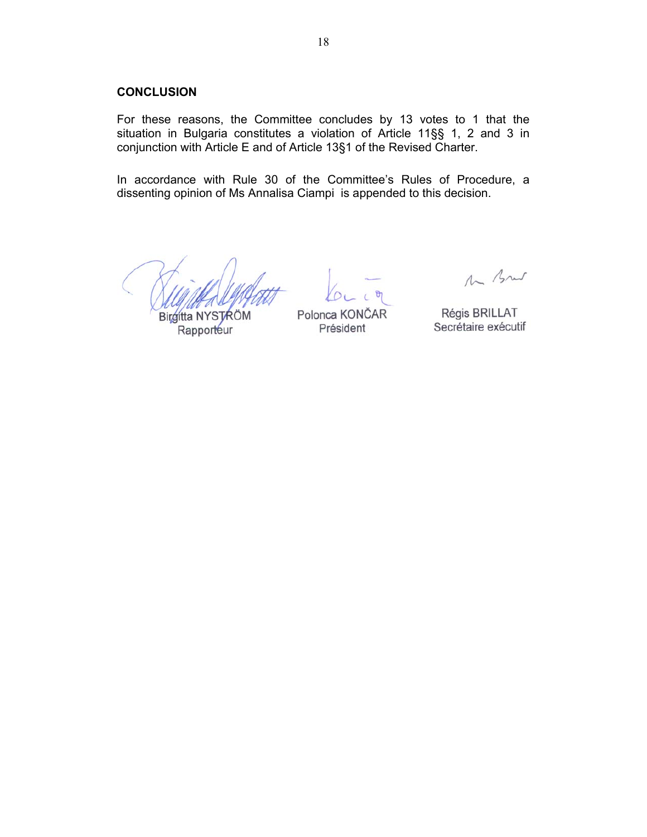#### **CONCLUSION**

For these reasons, the Committee concludes by 13 votes to 1 that the situation in Bulgaria constitutes a violation of Article 11§§ 1, 2 and 3 in conjunction with Article E and of Article 13§1 of the Revised Charter.

In accordance with Rule 30 of the Committee's Rules of Procedure, a dissenting opinion of Ms Annalisa Ciampi is appended to this decision.

Birgitta NYSTRÖM Rapporteur

Polonca KONČAR Président

M Brut

Régis BRILLAT Secrétaire exécutif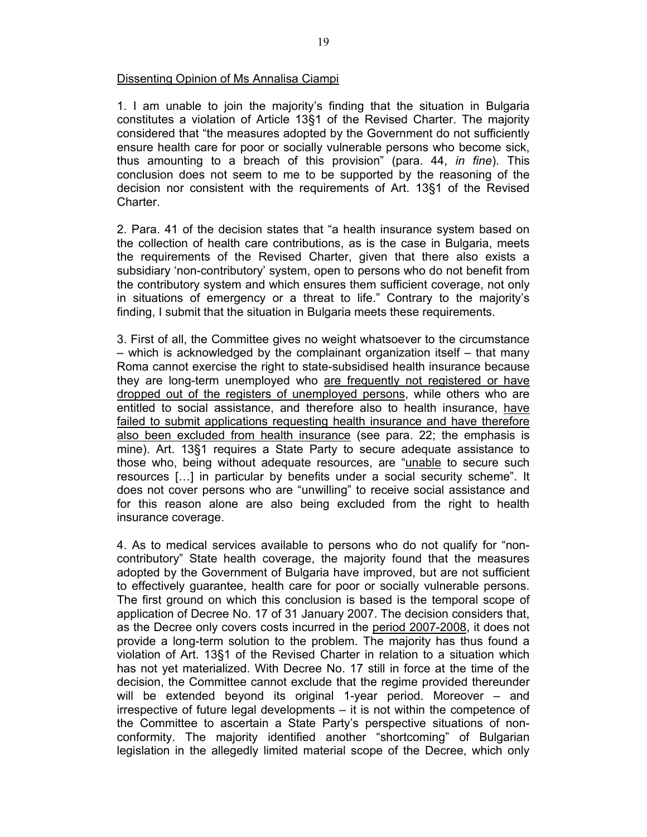## Dissenting Opinion of Ms Annalisa Ciampi

1. I am unable to join the majority's finding that the situation in Bulgaria constitutes a violation of Article 13§1 of the Revised Charter. The majority considered that "the measures adopted by the Government do not sufficiently ensure health care for poor or socially vulnerable persons who become sick, thus amounting to a breach of this provision" (para. 44, *in fine*). This conclusion does not seem to me to be supported by the reasoning of the decision nor consistent with the requirements of Art. 13§1 of the Revised Charter.

2. Para. 41 of the decision states that "a health insurance system based on the collection of health care contributions, as is the case in Bulgaria, meets the requirements of the Revised Charter, given that there also exists a subsidiary 'non-contributory' system, open to persons who do not benefit from the contributory system and which ensures them sufficient coverage, not only in situations of emergency or a threat to life." Contrary to the majority's finding, I submit that the situation in Bulgaria meets these requirements.

3. First of all, the Committee gives no weight whatsoever to the circumstance – which is acknowledged by the complainant organization itself – that many Roma cannot exercise the right to state-subsidised health insurance because they are long-term unemployed who are frequently not registered or have dropped out of the registers of unemployed persons, while others who are entitled to social assistance, and therefore also to health insurance, have failed to submit applications requesting health insurance and have therefore also been excluded from health insurance (see para. 22; the emphasis is mine). Art. 13§1 requires a State Party to secure adequate assistance to those who, being without adequate resources, are "unable to secure such resources […] in particular by benefits under a social security scheme". It does not cover persons who are "unwilling" to receive social assistance and for this reason alone are also being excluded from the right to health insurance coverage.

4. As to medical services available to persons who do not qualify for "noncontributory" State health coverage, the majority found that the measures adopted by the Government of Bulgaria have improved, but are not sufficient to effectively guarantee, health care for poor or socially vulnerable persons. The first ground on which this conclusion is based is the temporal scope of application of Decree No. 17 of 31 January 2007. The decision considers that, as the Decree only covers costs incurred in the period 2007-2008, it does not provide a long-term solution to the problem. The majority has thus found a violation of Art. 13§1 of the Revised Charter in relation to a situation which has not yet materialized. With Decree No. 17 still in force at the time of the decision, the Committee cannot exclude that the regime provided thereunder will be extended beyond its original 1-year period. Moreover – and irrespective of future legal developments – it is not within the competence of the Committee to ascertain a State Party's perspective situations of nonconformity. The majority identified another "shortcoming" of Bulgarian legislation in the allegedly limited material scope of the Decree, which only